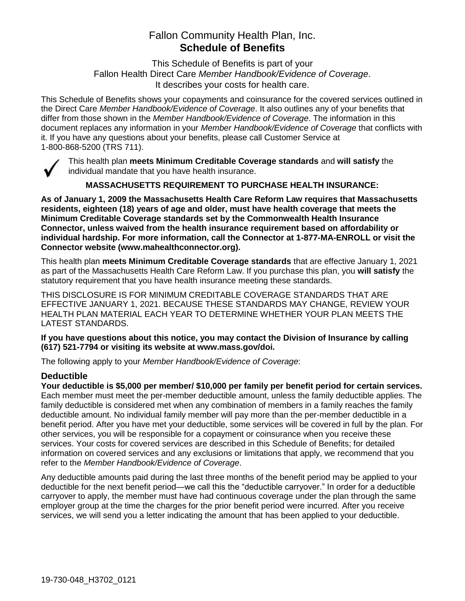# Fallon Community Health Plan, Inc. **Schedule of Benefits**

This Schedule of Benefits is part of your Fallon Health Direct Care *Member Handbook/Evidence of Coverage*. It describes your costs for health care.

This Schedule of Benefits shows your copayments and coinsurance for the covered services outlined in the Direct Care *Member Handbook/Evidence of Coverage*. It also outlines any of your benefits that differ from those shown in the *Member Handbook/Evidence of Coverage*. The information in this document replaces any information in your *Member Handbook/Evidence of Coverage* that conflicts with it. If you have any questions about your benefits, please call Customer Service at 1-800-868-5200 (TRS 711).



This health plan **meets Minimum Creditable Coverage standards** and **will satisfy** the individual mandate that you have health insurance.

**MASSACHUSETTS REQUIREMENT TO PURCHASE HEALTH INSURANCE:**

**As of January 1, 2009 the Massachusetts Health Care Reform Law requires that Massachusetts residents, eighteen (18) years of age and older, must have health coverage that meets the Minimum Creditable Coverage standards set by the Commonwealth Health Insurance Connector, unless waived from the health insurance requirement based on affordability or individual hardship. For more information, call the Connector at 1-877-MA-ENROLL or visit the Connector website (www.mahealthconnector.org).**

This health plan **meets Minimum Creditable Coverage standards** that are effective January 1, 2021 as part of the Massachusetts Health Care Reform Law. If you purchase this plan, you **will satisfy** the statutory requirement that you have health insurance meeting these standards.

THIS DISCLOSURE IS FOR MINIMUM CREDITABLE COVERAGE STANDARDS THAT ARE EFFECTIVE JANUARY 1, 2021. BECAUSE THESE STANDARDS MAY CHANGE, REVIEW YOUR HEALTH PLAN MATERIAL EACH YEAR TO DETERMINE WHETHER YOUR PLAN MEETS THE LATEST STANDARDS.

**If you have questions about this notice, you may contact the Division of Insurance by calling (617) 521-7794 or visiting its website at www.mass.gov/doi.** 

The following apply to your *Member Handbook/Evidence of Coverage*:

# **Deductible**

**Your deductible is \$5,000 per member/ \$10,000 per family per benefit period for certain services.** Each member must meet the per-member deductible amount, unless the family deductible applies. The family deductible is considered met when any combination of members in a family reaches the family deductible amount. No individual family member will pay more than the per-member deductible in a benefit period. After you have met your deductible, some services will be covered in full by the plan. For other services, you will be responsible for a copayment or coinsurance when you receive these services. Your costs for covered services are described in this Schedule of Benefits; for detailed information on covered services and any exclusions or limitations that apply, we recommend that you refer to the *Member Handbook/Evidence of Coverage*.

Any deductible amounts paid during the last three months of the benefit period may be applied to your deductible for the next benefit period—we call this the "deductible carryover." In order for a deductible carryover to apply, the member must have had continuous coverage under the plan through the same employer group at the time the charges for the prior benefit period were incurred. After you receive services, we will send you a letter indicating the amount that has been applied to your deductible.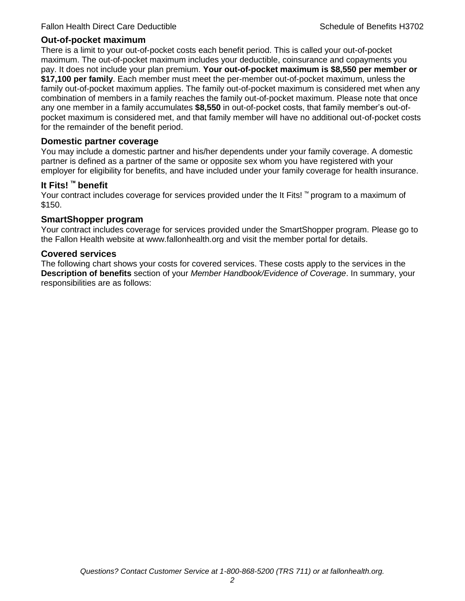#### **Out-of-pocket maximum**

There is a limit to your out-of-pocket costs each benefit period. This is called your out-of-pocket maximum. The out-of-pocket maximum includes your deductible, coinsurance and copayments you pay. It does not include your plan premium. **Your out-of-pocket maximum is \$8,550 per member or \$17,100 per family**. Each member must meet the per-member out-of-pocket maximum, unless the family out-of-pocket maximum applies. The family out-of-pocket maximum is considered met when any combination of members in a family reaches the family out-of-pocket maximum. Please note that once any one member in a family accumulates **\$8,550** in out-of-pocket costs, that family member's out-ofpocket maximum is considered met, and that family member will have no additional out-of-pocket costs for the remainder of the benefit period.

#### **Domestic partner coverage**

You may include a domestic partner and his/her dependents under your family coverage. A domestic partner is defined as a partner of the same or opposite sex whom you have registered with your employer for eligibility for benefits, and have included under your family coverage for health insurance.

#### **It Fits! ™ benefit**

Your contract includes coverage for services provided under the It Fits! ™ program to a maximum of \$150.

#### **SmartShopper program**

Your contract includes coverage for services provided under the SmartShopper program. Please go to the Fallon Health website at www.fallonhealth.org and visit the member portal for details.

#### **Covered services**

The following chart shows your costs for covered services. These costs apply to the services in the **Description of benefits** section of your *Member Handbook/Evidence of Coverage*. In summary, your responsibilities are as follows: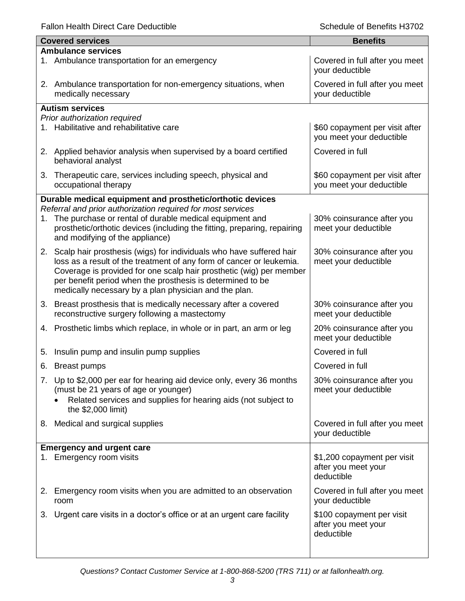Fallon Health Direct Care Deductible **Schedule of Benefits H3702** Schedule of Benefits H3702

| <b>Covered services</b>                                                                 | <b>Benefits</b>                                            |
|-----------------------------------------------------------------------------------------|------------------------------------------------------------|
| <b>Ambulance services</b>                                                               |                                                            |
| 1. Ambulance transportation for an emergency                                            | Covered in full after you meet<br>your deductible          |
| 2. Ambulance transportation for non-emergency situations, when<br>medically necessary   | Covered in full after you meet<br>your deductible          |
| <b>Autism services</b>                                                                  |                                                            |
| Prior authorization required                                                            |                                                            |
| 1. Habilitative and rehabilitative care                                                 | \$60 copayment per visit after<br>you meet your deductible |
| 2. Applied behavior analysis when supervised by a board certified<br>behavioral analyst | Covered in full                                            |
| Therapeutic care, services including speech, physical and<br>3.<br>occupational therapy | \$60 copayment per visit after<br>you meet your deductible |
| Durable medical equipment and prosthetic/orthotic devices                               |                                                            |
| Referral and prior authorization required for most services                             |                                                            |
| The purchase or rental of durable medical equipment and<br>1.                           | 30% coinsurance after you                                  |
| prosthetic/orthotic devices (including the fitting, preparing, repairing                | meet your deductible                                       |
| and modifying of the appliance)                                                         |                                                            |
| 2. Scalp hair prosthesis (wigs) for individuals who have suffered hair                  | 30% coinsurance after you                                  |
| loss as a result of the treatment of any form of cancer or leukemia.                    | meet your deductible                                       |
| Coverage is provided for one scalp hair prosthetic (wig) per member                     |                                                            |
| per benefit period when the prosthesis is determined to be                              |                                                            |
| medically necessary by a plan physician and the plan.                                   |                                                            |
| 3. Breast prosthesis that is medically necessary after a covered                        | 30% coinsurance after you                                  |
| reconstructive surgery following a mastectomy                                           | meet your deductible                                       |
| 4. Prosthetic limbs which replace, in whole or in part, an arm or leg                   | 20% coinsurance after you                                  |
|                                                                                         | meet your deductible                                       |
| Insulin pump and insulin pump supplies<br>5.                                            | Covered in full                                            |
| 6. Breast pumps                                                                         | Covered in full                                            |
| 7. Up to \$2,000 per ear for hearing aid device only, every 36 months                   | 30% coinsurance after you                                  |
| (must be 21 years of age or younger)                                                    | meet your deductible                                       |
| Related services and supplies for hearing aids (not subject to                          |                                                            |
| the \$2,000 limit)                                                                      |                                                            |
| 8. Medical and surgical supplies                                                        | Covered in full after you meet                             |
|                                                                                         | your deductible                                            |
| <b>Emergency and urgent care</b>                                                        |                                                            |
| 1. Emergency room visits                                                                | \$1,200 copayment per visit                                |
|                                                                                         | after you meet your                                        |
|                                                                                         | deductible                                                 |
| 2. Emergency room visits when you are admitted to an observation                        | Covered in full after you meet                             |
| room                                                                                    | your deductible                                            |
| 3. Urgent care visits in a doctor's office or at an urgent care facility                | \$100 copayment per visit                                  |
|                                                                                         | after you meet your                                        |
|                                                                                         | deductible                                                 |
|                                                                                         |                                                            |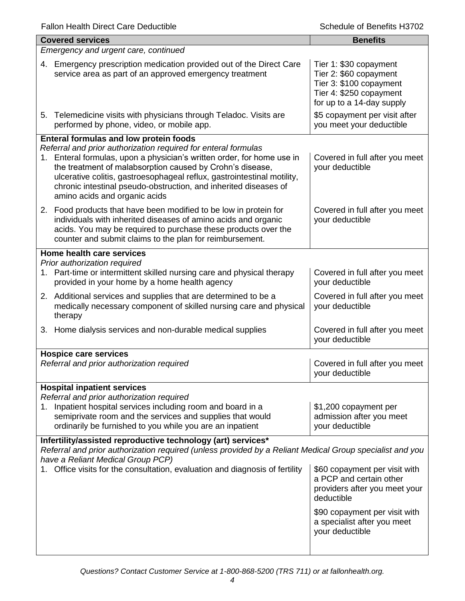| for up to a 14-day supply                                                                                                                     |  |  |
|-----------------------------------------------------------------------------------------------------------------------------------------------|--|--|
| \$5 copayment per visit after<br>you meet your deductible                                                                                     |  |  |
|                                                                                                                                               |  |  |
| Covered in full after you meet                                                                                                                |  |  |
| Covered in full after you meet                                                                                                                |  |  |
|                                                                                                                                               |  |  |
| Covered in full after you meet                                                                                                                |  |  |
| Covered in full after you meet                                                                                                                |  |  |
| Covered in full after you meet                                                                                                                |  |  |
|                                                                                                                                               |  |  |
| Covered in full after you meet                                                                                                                |  |  |
|                                                                                                                                               |  |  |
| admission after you meet                                                                                                                      |  |  |
|                                                                                                                                               |  |  |
| Referral and prior authorization required (unless provided by a Reliant Medical Group specialist and you<br>have a Reliant Medical Group PCP) |  |  |
| \$60 copayment per visit with<br>providers after you meet your                                                                                |  |  |
| \$90 copayment per visit with<br>a specialist after you meet                                                                                  |  |  |
|                                                                                                                                               |  |  |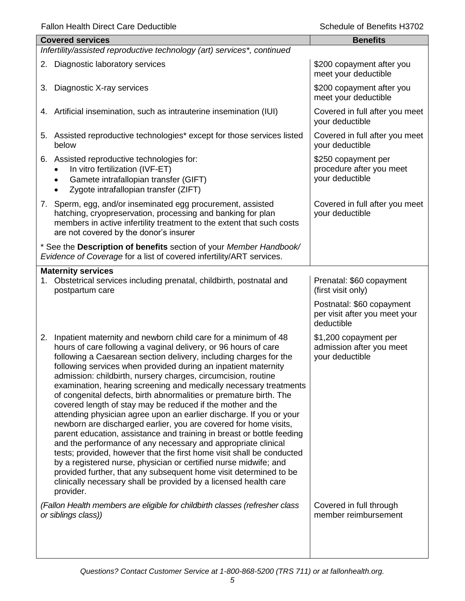| <b>Covered services</b>                                                                                                                                                                                                                                                                                                                                                                                                                                                                                                                                                                                                                                                                                                                                                                                                                                                                                                                                                                                                                                                                                                                           | <b>Benefits</b>                                                          |
|---------------------------------------------------------------------------------------------------------------------------------------------------------------------------------------------------------------------------------------------------------------------------------------------------------------------------------------------------------------------------------------------------------------------------------------------------------------------------------------------------------------------------------------------------------------------------------------------------------------------------------------------------------------------------------------------------------------------------------------------------------------------------------------------------------------------------------------------------------------------------------------------------------------------------------------------------------------------------------------------------------------------------------------------------------------------------------------------------------------------------------------------------|--------------------------------------------------------------------------|
| Infertility/assisted reproductive technology (art) services*, continued                                                                                                                                                                                                                                                                                                                                                                                                                                                                                                                                                                                                                                                                                                                                                                                                                                                                                                                                                                                                                                                                           |                                                                          |
| 2. Diagnostic laboratory services                                                                                                                                                                                                                                                                                                                                                                                                                                                                                                                                                                                                                                                                                                                                                                                                                                                                                                                                                                                                                                                                                                                 | \$200 copayment after you<br>meet your deductible                        |
| 3. Diagnostic X-ray services                                                                                                                                                                                                                                                                                                                                                                                                                                                                                                                                                                                                                                                                                                                                                                                                                                                                                                                                                                                                                                                                                                                      | \$200 copayment after you<br>meet your deductible                        |
| 4. Artificial insemination, such as intrauterine insemination (IUI)                                                                                                                                                                                                                                                                                                                                                                                                                                                                                                                                                                                                                                                                                                                                                                                                                                                                                                                                                                                                                                                                               | Covered in full after you meet<br>your deductible                        |
| 5. Assisted reproductive technologies* except for those services listed<br>below                                                                                                                                                                                                                                                                                                                                                                                                                                                                                                                                                                                                                                                                                                                                                                                                                                                                                                                                                                                                                                                                  | Covered in full after you meet<br>your deductible                        |
| 6. Assisted reproductive technologies for:<br>In vitro fertilization (IVF-ET)<br>Gamete intrafallopian transfer (GIFT)<br>Zygote intrafallopian transfer (ZIFT)                                                                                                                                                                                                                                                                                                                                                                                                                                                                                                                                                                                                                                                                                                                                                                                                                                                                                                                                                                                   | \$250 copayment per<br>procedure after you meet<br>your deductible       |
| 7. Sperm, egg, and/or inseminated egg procurement, assisted<br>hatching, cryopreservation, processing and banking for plan<br>members in active infertility treatment to the extent that such costs<br>are not covered by the donor's insurer                                                                                                                                                                                                                                                                                                                                                                                                                                                                                                                                                                                                                                                                                                                                                                                                                                                                                                     | Covered in full after you meet<br>your deductible                        |
| * See the Description of benefits section of your Member Handbook/<br>Evidence of Coverage for a list of covered infertility/ART services.                                                                                                                                                                                                                                                                                                                                                                                                                                                                                                                                                                                                                                                                                                                                                                                                                                                                                                                                                                                                        |                                                                          |
| <b>Maternity services</b>                                                                                                                                                                                                                                                                                                                                                                                                                                                                                                                                                                                                                                                                                                                                                                                                                                                                                                                                                                                                                                                                                                                         |                                                                          |
| Obstetrical services including prenatal, childbirth, postnatal and<br>1.<br>postpartum care                                                                                                                                                                                                                                                                                                                                                                                                                                                                                                                                                                                                                                                                                                                                                                                                                                                                                                                                                                                                                                                       | Prenatal: \$60 copayment<br>(first visit only)                           |
|                                                                                                                                                                                                                                                                                                                                                                                                                                                                                                                                                                                                                                                                                                                                                                                                                                                                                                                                                                                                                                                                                                                                                   | Postnatal: \$60 copayment<br>per visit after you meet your<br>deductible |
| Inpatient maternity and newborn child care for a minimum of 48<br>2.<br>hours of care following a vaginal delivery, or 96 hours of care<br>following a Caesarean section delivery, including charges for the<br>following services when provided during an inpatient maternity<br>admission: childbirth, nursery charges, circumcision, routine<br>examination, hearing screening and medically necessary treatments<br>of congenital defects, birth abnormalities or premature birth. The<br>covered length of stay may be reduced if the mother and the<br>attending physician agree upon an earlier discharge. If you or your<br>newborn are discharged earlier, you are covered for home visits,<br>parent education, assistance and training in breast or bottle feeding<br>and the performance of any necessary and appropriate clinical<br>tests; provided, however that the first home visit shall be conducted<br>by a registered nurse, physician or certified nurse midwife; and<br>provided further, that any subsequent home visit determined to be<br>clinically necessary shall be provided by a licensed health care<br>provider. | \$1,200 copayment per<br>admission after you meet<br>your deductible     |
| (Fallon Health members are eligible for childbirth classes (refresher class<br>or siblings class))                                                                                                                                                                                                                                                                                                                                                                                                                                                                                                                                                                                                                                                                                                                                                                                                                                                                                                                                                                                                                                                | Covered in full through<br>member reimbursement                          |
|                                                                                                                                                                                                                                                                                                                                                                                                                                                                                                                                                                                                                                                                                                                                                                                                                                                                                                                                                                                                                                                                                                                                                   |                                                                          |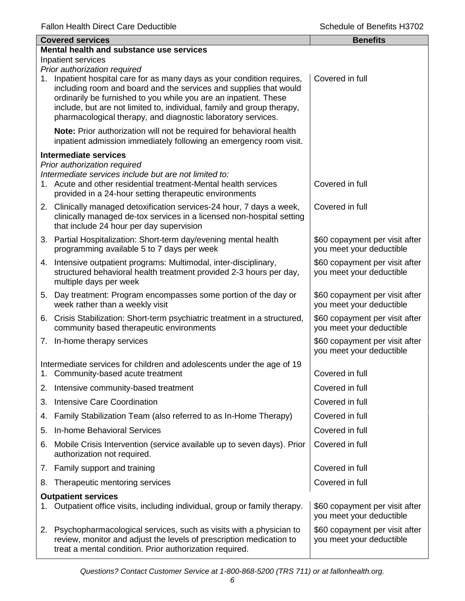|                    | <b>Covered services</b>                                                                                                                                                                                                                                                                                                                                                                 | <b>Benefits</b>                                            |  |
|--------------------|-----------------------------------------------------------------------------------------------------------------------------------------------------------------------------------------------------------------------------------------------------------------------------------------------------------------------------------------------------------------------------------------|------------------------------------------------------------|--|
|                    | Mental health and substance use services                                                                                                                                                                                                                                                                                                                                                |                                                            |  |
| Inpatient services |                                                                                                                                                                                                                                                                                                                                                                                         |                                                            |  |
| 1.                 | Prior authorization required<br>Inpatient hospital care for as many days as your condition requires,<br>including room and board and the services and supplies that would<br>ordinarily be furnished to you while you are an inpatient. These<br>include, but are not limited to, individual, family and group therapy,<br>pharmacological therapy, and diagnostic laboratory services. | Covered in full                                            |  |
|                    | Note: Prior authorization will not be required for behavioral health<br>inpatient admission immediately following an emergency room visit.                                                                                                                                                                                                                                              |                                                            |  |
|                    | <b>Intermediate services</b>                                                                                                                                                                                                                                                                                                                                                            |                                                            |  |
|                    | Prior authorization required<br>Intermediate services include but are not limited to:<br>1. Acute and other residential treatment-Mental health services<br>provided in a 24-hour setting therapeutic environments                                                                                                                                                                      | Covered in full                                            |  |
|                    | 2. Clinically managed detoxification services-24 hour, 7 days a week,<br>clinically managed de-tox services in a licensed non-hospital setting<br>that include 24 hour per day supervision                                                                                                                                                                                              | Covered in full                                            |  |
|                    | 3. Partial Hospitalization: Short-term day/evening mental health<br>programming available 5 to 7 days per week                                                                                                                                                                                                                                                                          | \$60 copayment per visit after<br>you meet your deductible |  |
|                    | 4. Intensive outpatient programs: Multimodal, inter-disciplinary,<br>structured behavioral health treatment provided 2-3 hours per day,<br>multiple days per week                                                                                                                                                                                                                       | \$60 copayment per visit after<br>you meet your deductible |  |
|                    | 5. Day treatment: Program encompasses some portion of the day or<br>week rather than a weekly visit                                                                                                                                                                                                                                                                                     | \$60 copayment per visit after<br>you meet your deductible |  |
|                    | 6. Crisis Stabilization: Short-term psychiatric treatment in a structured,<br>community based therapeutic environments                                                                                                                                                                                                                                                                  | \$60 copayment per visit after<br>you meet your deductible |  |
|                    | 7. In-home therapy services                                                                                                                                                                                                                                                                                                                                                             | \$60 copayment per visit after<br>you meet your deductible |  |
|                    | Intermediate services for children and adolescents under the age of 19<br>1. Community-based acute treatment                                                                                                                                                                                                                                                                            | Covered in full                                            |  |
| 2.                 | Intensive community-based treatment                                                                                                                                                                                                                                                                                                                                                     | Covered in full                                            |  |
| 3.                 | <b>Intensive Care Coordination</b>                                                                                                                                                                                                                                                                                                                                                      | Covered in full                                            |  |
| 4.                 | Family Stabilization Team (also referred to as In-Home Therapy)                                                                                                                                                                                                                                                                                                                         | Covered in full                                            |  |
| 5.                 | <b>In-home Behavioral Services</b>                                                                                                                                                                                                                                                                                                                                                      | Covered in full                                            |  |
| 6.                 | Mobile Crisis Intervention (service available up to seven days). Prior<br>authorization not required.                                                                                                                                                                                                                                                                                   | Covered in full                                            |  |
|                    | 7. Family support and training                                                                                                                                                                                                                                                                                                                                                          | Covered in full                                            |  |
| 8.                 | Therapeutic mentoring services                                                                                                                                                                                                                                                                                                                                                          | Covered in full                                            |  |
|                    | <b>Outpatient services</b>                                                                                                                                                                                                                                                                                                                                                              |                                                            |  |
|                    | Outpatient office visits, including individual, group or family therapy.                                                                                                                                                                                                                                                                                                                | \$60 copayment per visit after<br>you meet your deductible |  |
|                    | 2. Psychopharmacological services, such as visits with a physician to<br>review, monitor and adjust the levels of prescription medication to<br>treat a mental condition. Prior authorization required.                                                                                                                                                                                 | \$60 copayment per visit after<br>you meet your deductible |  |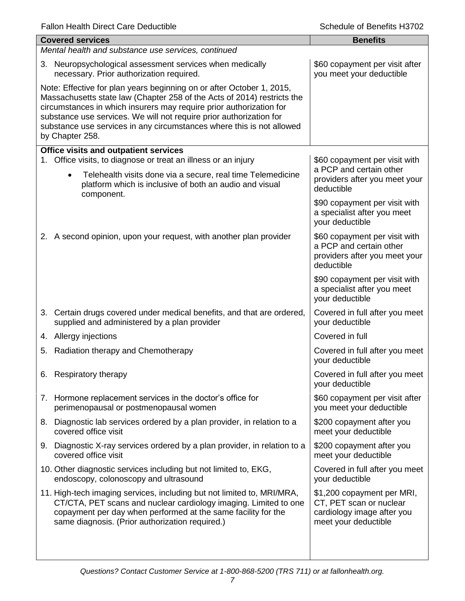| <b>Covered services</b>                                                                                                                                                                                                                                                                                                                                                                    | <b>Benefits</b>                                                                                             |  |  |
|--------------------------------------------------------------------------------------------------------------------------------------------------------------------------------------------------------------------------------------------------------------------------------------------------------------------------------------------------------------------------------------------|-------------------------------------------------------------------------------------------------------------|--|--|
| Mental health and substance use services, continued                                                                                                                                                                                                                                                                                                                                        |                                                                                                             |  |  |
| 3. Neuropsychological assessment services when medically<br>necessary. Prior authorization required.                                                                                                                                                                                                                                                                                       | \$60 copayment per visit after<br>you meet your deductible                                                  |  |  |
| Note: Effective for plan years beginning on or after October 1, 2015,<br>Massachusetts state law (Chapter 258 of the Acts of 2014) restricts the<br>circumstances in which insurers may require prior authorization for<br>substance use services. We will not require prior authorization for<br>substance use services in any circumstances where this is not allowed<br>by Chapter 258. |                                                                                                             |  |  |
| <b>Office visits and outpatient services</b>                                                                                                                                                                                                                                                                                                                                               |                                                                                                             |  |  |
| 1. Office visits, to diagnose or treat an illness or an injury<br>Telehealth visits done via a secure, real time Telemedicine<br>$\bullet$<br>platform which is inclusive of both an audio and visual<br>component.                                                                                                                                                                        | \$60 copayment per visit with<br>a PCP and certain other<br>providers after you meet your<br>deductible     |  |  |
|                                                                                                                                                                                                                                                                                                                                                                                            | \$90 copayment per visit with<br>a specialist after you meet<br>your deductible                             |  |  |
| 2. A second opinion, upon your request, with another plan provider                                                                                                                                                                                                                                                                                                                         | \$60 copayment per visit with<br>a PCP and certain other<br>providers after you meet your<br>deductible     |  |  |
|                                                                                                                                                                                                                                                                                                                                                                                            | \$90 copayment per visit with<br>a specialist after you meet<br>your deductible                             |  |  |
| 3. Certain drugs covered under medical benefits, and that are ordered,<br>supplied and administered by a plan provider                                                                                                                                                                                                                                                                     | Covered in full after you meet<br>your deductible                                                           |  |  |
| 4. Allergy injections                                                                                                                                                                                                                                                                                                                                                                      | Covered in full                                                                                             |  |  |
| 5. Radiation therapy and Chemotherapy                                                                                                                                                                                                                                                                                                                                                      | Covered in full after you meet<br>your deductible                                                           |  |  |
| 6. Respiratory therapy                                                                                                                                                                                                                                                                                                                                                                     | Covered in full after you meet<br>your deductible                                                           |  |  |
| 7. Hormone replacement services in the doctor's office for<br>perimenopausal or postmenopausal women                                                                                                                                                                                                                                                                                       | \$60 copayment per visit after<br>you meet your deductible                                                  |  |  |
| Diagnostic lab services ordered by a plan provider, in relation to a<br>8.<br>covered office visit                                                                                                                                                                                                                                                                                         | \$200 copayment after you<br>meet your deductible                                                           |  |  |
| 9. Diagnostic X-ray services ordered by a plan provider, in relation to a<br>covered office visit                                                                                                                                                                                                                                                                                          | \$200 copayment after you<br>meet your deductible                                                           |  |  |
| 10. Other diagnostic services including but not limited to, EKG,<br>endoscopy, colonoscopy and ultrasound                                                                                                                                                                                                                                                                                  | Covered in full after you meet<br>your deductible                                                           |  |  |
| 11. High-tech imaging services, including but not limited to, MRI/MRA,<br>CT/CTA, PET scans and nuclear cardiology imaging. Limited to one<br>copayment per day when performed at the same facility for the<br>same diagnosis. (Prior authorization required.)                                                                                                                             | \$1,200 copayment per MRI,<br>CT, PET scan or nuclear<br>cardiology image after you<br>meet your deductible |  |  |
|                                                                                                                                                                                                                                                                                                                                                                                            |                                                                                                             |  |  |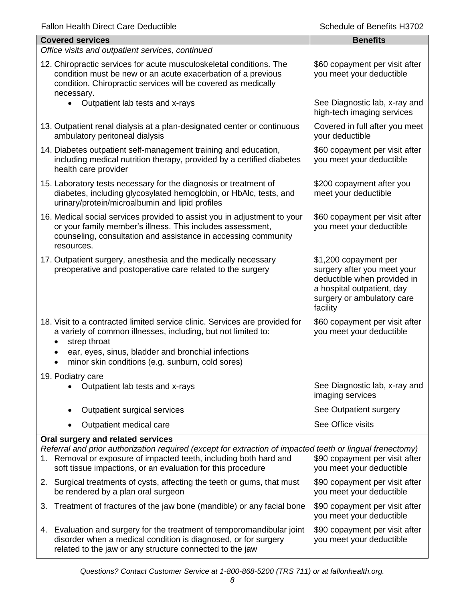| <b>Fallon Health Direct Care Deductible</b> |  |  |
|---------------------------------------------|--|--|
|---------------------------------------------|--|--|

| <b>Fallon Health Direct Care Deductible</b>                                                                                                                                                                                                                            | Schedule of Benefits H3702                                                                                                                                  |
|------------------------------------------------------------------------------------------------------------------------------------------------------------------------------------------------------------------------------------------------------------------------|-------------------------------------------------------------------------------------------------------------------------------------------------------------|
| <b>Covered services</b>                                                                                                                                                                                                                                                | <b>Benefits</b>                                                                                                                                             |
| Office visits and outpatient services, continued                                                                                                                                                                                                                       |                                                                                                                                                             |
| 12. Chiropractic services for acute musculoskeletal conditions. The<br>condition must be new or an acute exacerbation of a previous<br>condition. Chiropractic services will be covered as medically<br>necessary.                                                     | \$60 copayment per visit after<br>you meet your deductible                                                                                                  |
| $\bullet$<br>Outpatient lab tests and x-rays                                                                                                                                                                                                                           | See Diagnostic lab, x-ray and<br>high-tech imaging services                                                                                                 |
| 13. Outpatient renal dialysis at a plan-designated center or continuous<br>ambulatory peritoneal dialysis                                                                                                                                                              | Covered in full after you meet<br>your deductible                                                                                                           |
| 14. Diabetes outpatient self-management training and education,<br>including medical nutrition therapy, provided by a certified diabetes<br>health care provider                                                                                                       | \$60 copayment per visit after<br>you meet your deductible                                                                                                  |
| 15. Laboratory tests necessary for the diagnosis or treatment of<br>diabetes, including glycosylated hemoglobin, or HbAlc, tests, and<br>urinary/protein/microalbumin and lipid profiles                                                                               | \$200 copayment after you<br>meet your deductible                                                                                                           |
| 16. Medical social services provided to assist you in adjustment to your<br>or your family member's illness. This includes assessment,<br>counseling, consultation and assistance in accessing community<br>resources.                                                 | \$60 copayment per visit after<br>you meet your deductible                                                                                                  |
| 17. Outpatient surgery, anesthesia and the medically necessary<br>preoperative and postoperative care related to the surgery                                                                                                                                           | \$1,200 copayment per<br>surgery after you meet your<br>deductible when provided in<br>a hospital outpatient, day<br>surgery or ambulatory care<br>facility |
| 18. Visit to a contracted limited service clinic. Services are provided for<br>a variety of common illnesses, including, but not limited to:<br>strep throat<br>ear, eyes, sinus, bladder and bronchial infections<br>minor skin conditions (e.g. sunburn, cold sores) | \$60 copayment per visit after<br>you meet your deductible                                                                                                  |
| 19. Podiatry care<br>Outpatient lab tests and x-rays                                                                                                                                                                                                                   | See Diagnostic lab, x-ray and<br>imaging services                                                                                                           |
| Outpatient surgical services                                                                                                                                                                                                                                           | See Outpatient surgery                                                                                                                                      |
| Outpatient medical care                                                                                                                                                                                                                                                | See Office visits                                                                                                                                           |
| Oral surgery and related services                                                                                                                                                                                                                                      |                                                                                                                                                             |
| Referral and prior authorization required (except for extraction of impacted teeth or lingual frenectomy)<br>1. Removal or exposure of impacted teeth, including both hard and<br>soft tissue impactions, or an evaluation for this procedure                          | \$90 copayment per visit after<br>you meet your deductible                                                                                                  |
| 2. Surgical treatments of cysts, affecting the teeth or gums, that must<br>be rendered by a plan oral surgeon                                                                                                                                                          | \$90 copayment per visit after<br>you meet your deductible                                                                                                  |
| Treatment of fractures of the jaw bone (mandible) or any facial bone<br>3.                                                                                                                                                                                             | \$90 copayment per visit after<br>you meet your deductible                                                                                                  |
| 4. Evaluation and surgery for the treatment of temporomandibular joint<br>disorder when a medical condition is diagnosed, or for surgery                                                                                                                               | \$90 copayment per visit after<br>you meet your deductible                                                                                                  |

related to the jaw or any structure connected to the jaw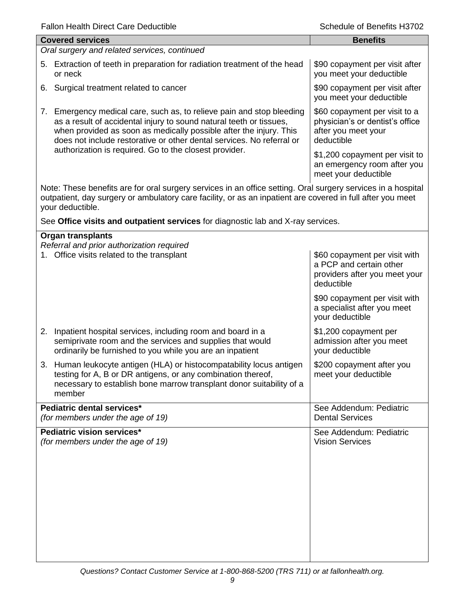| Schedule of Benefits H3702                                                                                                                                                                                                 |
|----------------------------------------------------------------------------------------------------------------------------------------------------------------------------------------------------------------------------|
| <b>Benefits</b>                                                                                                                                                                                                            |
|                                                                                                                                                                                                                            |
| \$90 copayment per visit after<br>you meet your deductible                                                                                                                                                                 |
| \$90 copayment per visit after<br>you meet your deductible                                                                                                                                                                 |
| \$60 copayment per visit to a<br>physician's or dentist's office<br>after you meet your<br>deductible                                                                                                                      |
| \$1,200 copayment per visit to<br>an emergency room after you<br>meet your deductible                                                                                                                                      |
| Note: These benefits are for oral surgery services in an office setting. Oral surgery services in a hospital<br>outpatient, day surgery or ambulatory care facility, or as an inpatient are covered in full after you meet |
| See Office visits and outpatient services for diagnostic lab and X-ray services.                                                                                                                                           |
|                                                                                                                                                                                                                            |
| \$60 copayment per visit with<br>a PCP and certain other<br>providers after you meet your<br>deductible                                                                                                                    |
| \$90 copayment per visit with<br>a specialist after you meet<br>your deductible                                                                                                                                            |
| \$1,200 copayment per<br>admission after you meet<br>your deductible                                                                                                                                                       |
| \$200 copayment after you<br>meet your deductible                                                                                                                                                                          |
| See Addendum: Pediatric<br><b>Dental Services</b>                                                                                                                                                                          |
| See Addendum: Pediatric<br><b>Vision Services</b>                                                                                                                                                                          |
|                                                                                                                                                                                                                            |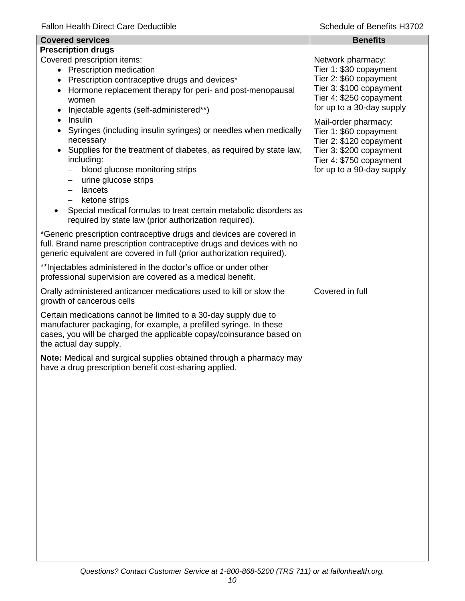| <b>Covered services</b>                                                                                                                                                                                                                                                                                                                                                                                                                                  | <b>Benefits</b>                                                                                                                                              |
|----------------------------------------------------------------------------------------------------------------------------------------------------------------------------------------------------------------------------------------------------------------------------------------------------------------------------------------------------------------------------------------------------------------------------------------------------------|--------------------------------------------------------------------------------------------------------------------------------------------------------------|
| <b>Prescription drugs</b>                                                                                                                                                                                                                                                                                                                                                                                                                                |                                                                                                                                                              |
| Covered prescription items:<br>• Prescription medication<br>Prescription contraceptive drugs and devices*<br>$\bullet$<br>Hormone replacement therapy for peri- and post-menopausal<br>$\bullet$<br>women<br>Injectable agents (self-administered**)                                                                                                                                                                                                     | Network pharmacy:<br>Tier 1: \$30 copayment<br>Tier 2: \$60 copayment<br>Tier 3: \$100 copayment<br>Tier 4: \$250 copayment<br>for up to a 30-day supply     |
| Insulin<br>$\bullet$<br>Syringes (including insulin syringes) or needles when medically<br>necessary<br>Supplies for the treatment of diabetes, as required by state law,<br>including:<br>blood glucose monitoring strips<br>urine glucose strips<br>—<br>lancets<br>$\qquad \qquad$<br>ketone strips<br>$\qquad \qquad -$<br>Special medical formulas to treat certain metabolic disorders as<br>required by state law (prior authorization required). | Mail-order pharmacy:<br>Tier 1: \$60 copayment<br>Tier 2: \$120 copayment<br>Tier 3: \$200 copayment<br>Tier 4: \$750 copayment<br>for up to a 90-day supply |
| *Generic prescription contraceptive drugs and devices are covered in<br>full. Brand name prescription contraceptive drugs and devices with no<br>generic equivalent are covered in full (prior authorization required).                                                                                                                                                                                                                                  |                                                                                                                                                              |
| ** Injectables administered in the doctor's office or under other<br>professional supervision are covered as a medical benefit.                                                                                                                                                                                                                                                                                                                          |                                                                                                                                                              |
| Orally administered anticancer medications used to kill or slow the<br>growth of cancerous cells                                                                                                                                                                                                                                                                                                                                                         | Covered in full                                                                                                                                              |
| Certain medications cannot be limited to a 30-day supply due to<br>manufacturer packaging, for example, a prefilled syringe. In these<br>cases, you will be charged the applicable copay/coinsurance based on<br>the actual day supply.                                                                                                                                                                                                                  |                                                                                                                                                              |
| Note: Medical and surgical supplies obtained through a pharmacy may<br>have a drug prescription benefit cost-sharing applied.                                                                                                                                                                                                                                                                                                                            |                                                                                                                                                              |
|                                                                                                                                                                                                                                                                                                                                                                                                                                                          |                                                                                                                                                              |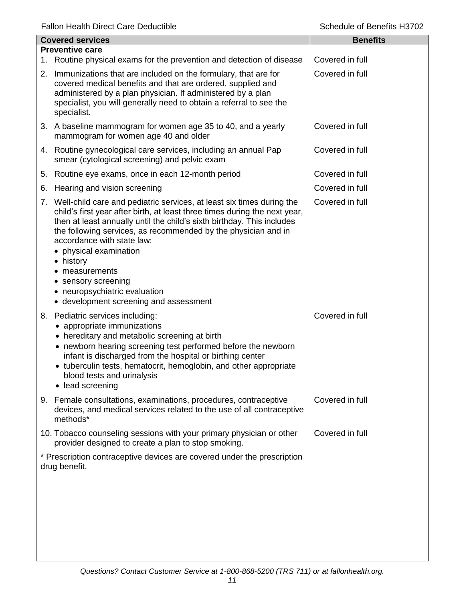|    | <b>Covered services</b>                                                                                                                                                                                                                                                                                                                                                                                                                                                                   | <b>Benefits</b> |
|----|-------------------------------------------------------------------------------------------------------------------------------------------------------------------------------------------------------------------------------------------------------------------------------------------------------------------------------------------------------------------------------------------------------------------------------------------------------------------------------------------|-----------------|
|    | <b>Preventive care</b>                                                                                                                                                                                                                                                                                                                                                                                                                                                                    |                 |
|    | 1. Routine physical exams for the prevention and detection of disease                                                                                                                                                                                                                                                                                                                                                                                                                     | Covered in full |
|    | 2. Immunizations that are included on the formulary, that are for<br>covered medical benefits and that are ordered, supplied and<br>administered by a plan physician. If administered by a plan<br>specialist, you will generally need to obtain a referral to see the<br>specialist.                                                                                                                                                                                                     | Covered in full |
|    | 3. A baseline mammogram for women age 35 to 40, and a yearly<br>mammogram for women age 40 and older                                                                                                                                                                                                                                                                                                                                                                                      | Covered in full |
|    | 4. Routine gynecological care services, including an annual Pap<br>smear (cytological screening) and pelvic exam                                                                                                                                                                                                                                                                                                                                                                          | Covered in full |
| 5. | Routine eye exams, once in each 12-month period                                                                                                                                                                                                                                                                                                                                                                                                                                           | Covered in full |
| 6. | Hearing and vision screening                                                                                                                                                                                                                                                                                                                                                                                                                                                              | Covered in full |
|    | 7. Well-child care and pediatric services, at least six times during the<br>child's first year after birth, at least three times during the next year,<br>then at least annually until the child's sixth birthday. This includes<br>the following services, as recommended by the physician and in<br>accordance with state law:<br>• physical examination<br>• history<br>measurements<br>• sensory screening<br>• neuropsychiatric evaluation<br>• development screening and assessment | Covered in full |
|    | 8. Pediatric services including:<br>appropriate immunizations<br>• hereditary and metabolic screening at birth<br>• newborn hearing screening test performed before the newborn<br>infant is discharged from the hospital or birthing center<br>• tuberculin tests, hematocrit, hemoglobin, and other appropriate<br>blood tests and urinalysis<br>• lead screening                                                                                                                       | Covered in full |
|    | 9. Female consultations, examinations, procedures, contraceptive<br>devices, and medical services related to the use of all contraceptive<br>methods*                                                                                                                                                                                                                                                                                                                                     | Covered in full |
|    | 10. Tobacco counseling sessions with your primary physician or other<br>provider designed to create a plan to stop smoking.                                                                                                                                                                                                                                                                                                                                                               | Covered in full |
|    | * Prescription contraceptive devices are covered under the prescription<br>drug benefit.                                                                                                                                                                                                                                                                                                                                                                                                  |                 |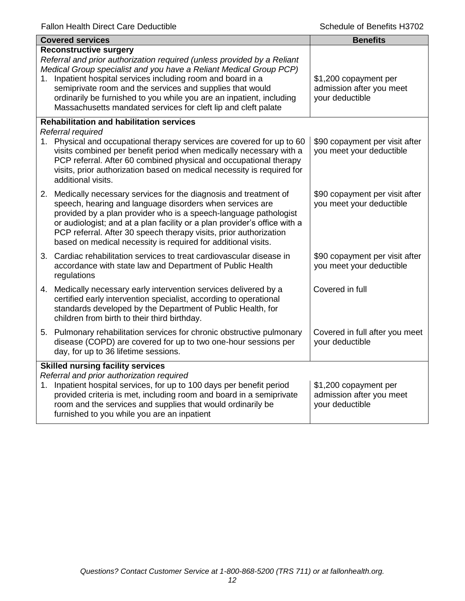| <b>Covered services</b>                                                                                                                                                                                                                                                                                                                                                                                                                               | <b>Benefits</b>                                                      |
|-------------------------------------------------------------------------------------------------------------------------------------------------------------------------------------------------------------------------------------------------------------------------------------------------------------------------------------------------------------------------------------------------------------------------------------------------------|----------------------------------------------------------------------|
| <b>Reconstructive surgery</b><br>Referral and prior authorization required (unless provided by a Reliant<br>Medical Group specialist and you have a Reliant Medical Group PCP)<br>1. Inpatient hospital services including room and board in a<br>semiprivate room and the services and supplies that would<br>ordinarily be furnished to you while you are an inpatient, including<br>Massachusetts mandated services for cleft lip and cleft palate | \$1,200 copayment per<br>admission after you meet<br>your deductible |
| <b>Rehabilitation and habilitation services</b><br>Referral required                                                                                                                                                                                                                                                                                                                                                                                  |                                                                      |
| 1. Physical and occupational therapy services are covered for up to 60<br>visits combined per benefit period when medically necessary with a<br>PCP referral. After 60 combined physical and occupational therapy<br>visits, prior authorization based on medical necessity is required for<br>additional visits.                                                                                                                                     | \$90 copayment per visit after<br>you meet your deductible           |
| 2. Medically necessary services for the diagnosis and treatment of<br>speech, hearing and language disorders when services are<br>provided by a plan provider who is a speech-language pathologist<br>or audiologist; and at a plan facility or a plan provider's office with a<br>PCP referral. After 30 speech therapy visits, prior authorization<br>based on medical necessity is required for additional visits.                                 | \$90 copayment per visit after<br>you meet your deductible           |
| 3. Cardiac rehabilitation services to treat cardiovascular disease in<br>accordance with state law and Department of Public Health<br>regulations                                                                                                                                                                                                                                                                                                     | \$90 copayment per visit after<br>you meet your deductible           |
| 4. Medically necessary early intervention services delivered by a<br>certified early intervention specialist, according to operational<br>standards developed by the Department of Public Health, for<br>children from birth to their third birthday.                                                                                                                                                                                                 | Covered in full                                                      |
| 5. Pulmonary rehabilitation services for chronic obstructive pulmonary<br>disease (COPD) are covered for up to two one-hour sessions per<br>day, for up to 36 lifetime sessions.                                                                                                                                                                                                                                                                      | Covered in full after you meet<br>your deductible                    |
| <b>Skilled nursing facility services</b><br>Referral and prior authorization required<br>1. Inpatient hospital services, for up to 100 days per benefit period<br>provided criteria is met, including room and board in a semiprivate<br>room and the services and supplies that would ordinarily be<br>furnished to you while you are an inpatient                                                                                                   | \$1,200 copayment per<br>admission after you meet<br>your deductible |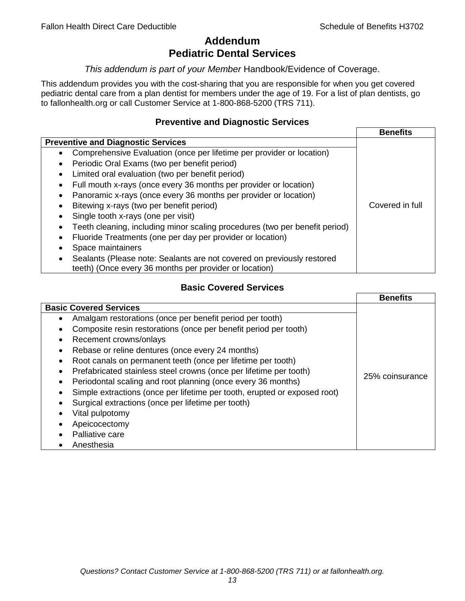# **Addendum Pediatric Dental Services**

### *This addendum is part of your Member* Handbook/Evidence of Coverage.

This addendum provides you with the cost-sharing that you are responsible for when you get covered pediatric dental care from a plan dentist for members under the age of 19. For a list of plan dentists, go to fallonhealth.org or call Customer Service at 1-800-868-5200 (TRS 711).

# **Preventive and Diagnostic Services**

|                                                                             | <b>Benefits</b> |
|-----------------------------------------------------------------------------|-----------------|
| <b>Preventive and Diagnostic Services</b>                                   |                 |
| Comprehensive Evaluation (once per lifetime per provider or location)<br>٠  |                 |
| Periodic Oral Exams (two per benefit period)<br>$\bullet$                   |                 |
| Limited oral evaluation (two per benefit period)<br>$\bullet$               |                 |
| Full mouth x-rays (once every 36 months per provider or location)           |                 |
| Panoramic x-rays (once every 36 months per provider or location)            |                 |
| Bitewing x-rays (two per benefit period)<br>٠                               | Covered in full |
| Single tooth x-rays (one per visit)                                         |                 |
| Teeth cleaning, including minor scaling procedures (two per benefit period) |                 |
| Fluoride Treatments (one per day per provider or location)                  |                 |
| Space maintainers                                                           |                 |
| Sealants (Please note: Sealants are not covered on previously restored      |                 |
| teeth) (Once every 36 months per provider or location)                      |                 |

# **Basic Covered Services**

|                                                                           | <b>Benefits</b> |
|---------------------------------------------------------------------------|-----------------|
| <b>Basic Covered Services</b>                                             |                 |
| Amalgam restorations (once per benefit period per tooth)                  |                 |
| Composite resin restorations (once per benefit period per tooth)          |                 |
| Recement crowns/onlays                                                    |                 |
| Rebase or reline dentures (once every 24 months)                          |                 |
| Root canals on permanent teeth (once per lifetime per tooth)              |                 |
| Prefabricated stainless steel crowns (once per lifetime per tooth)        |                 |
| Periodontal scaling and root planning (once every 36 months)              | 25% coinsurance |
| Simple extractions (once per lifetime per tooth, erupted or exposed root) |                 |
| Surgical extractions (once per lifetime per tooth)                        |                 |
| Vital pulpotomy                                                           |                 |
| Apeicocectomy                                                             |                 |
| Palliative care                                                           |                 |
| Anesthesia                                                                |                 |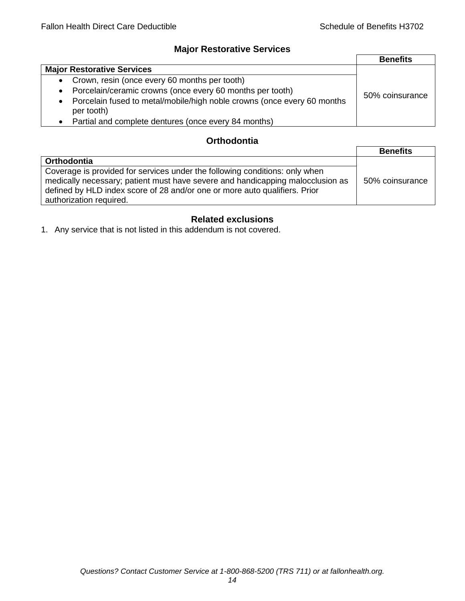# **Major Restorative Services**

|                                                                                                    | <b>Benefits</b> |
|----------------------------------------------------------------------------------------------------|-----------------|
| <b>Major Restorative Services</b>                                                                  |                 |
| • Crown, resin (once every 60 months per tooth)                                                    |                 |
| Porcelain/ceramic crowns (once every 60 months per tooth)<br>$\bullet$                             | 50% coinsurance |
| Porcelain fused to metal/mobile/high noble crowns (once every 60 months<br>$\bullet$<br>per tooth) |                 |
| Partial and complete dentures (once every 84 months)<br>$\bullet$                                  |                 |

# **Orthodontia**

|                                                                                                                                                                                                                                                                        | <b>Benefits</b> |
|------------------------------------------------------------------------------------------------------------------------------------------------------------------------------------------------------------------------------------------------------------------------|-----------------|
| <b>Orthodontia</b>                                                                                                                                                                                                                                                     |                 |
| Coverage is provided for services under the following conditions: only when<br>medically necessary; patient must have severe and handicapping malocclusion as<br>defined by HLD index score of 28 and/or one or more auto qualifiers. Prior<br>authorization required. | 50% coinsurance |

# **Related exclusions**

1. Any service that is not listed in this addendum is not covered.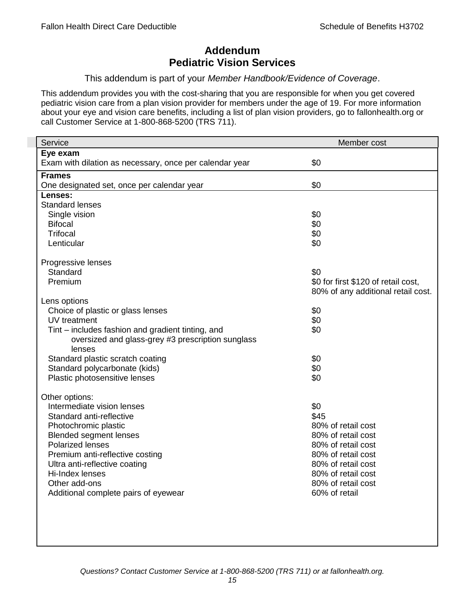# **Addendum Pediatric Vision Services**

### This addendum is part of your *Member Handbook/Evidence of Coverage*.

This addendum provides you with the cost-sharing that you are responsible for when you get covered pediatric vision care from a plan vision provider for members under the age of 19. For more information about your eye and vision care benefits, including a list of plan vision providers, go to fallonhealth.org or call Customer Service at 1-800-868-5200 (TRS 711).

| Service                                                 | Member cost                         |
|---------------------------------------------------------|-------------------------------------|
| Eye exam                                                |                                     |
| Exam with dilation as necessary, once per calendar year | \$0                                 |
| <b>Frames</b>                                           |                                     |
| One designated set, once per calendar year              | \$0                                 |
| Lenses:                                                 |                                     |
| <b>Standard lenses</b>                                  |                                     |
| Single vision                                           | \$0                                 |
| <b>Bifocal</b>                                          | \$0                                 |
| <b>Trifocal</b>                                         | \$0                                 |
| Lenticular                                              | \$0                                 |
| Progressive lenses                                      |                                     |
| Standard                                                | \$0                                 |
| Premium                                                 | \$0 for first \$120 of retail cost, |
|                                                         | 80% of any additional retail cost.  |
| Lens options                                            |                                     |
| Choice of plastic or glass lenses                       | \$0                                 |
| UV treatment                                            | \$0                                 |
| Tint – includes fashion and gradient tinting, and       | \$0                                 |
| oversized and glass-grey #3 prescription sunglass       |                                     |
| lenses                                                  |                                     |
| Standard plastic scratch coating                        | \$0                                 |
| Standard polycarbonate (kids)                           | \$0                                 |
| Plastic photosensitive lenses                           | \$0                                 |
|                                                         |                                     |
| Other options:<br>Intermediate vision lenses            | \$0                                 |
| Standard anti-reflective                                | \$45                                |
| Photochromic plastic                                    | 80% of retail cost                  |
| <b>Blended segment lenses</b>                           | 80% of retail cost                  |
| <b>Polarized lenses</b>                                 | 80% of retail cost                  |
| Premium anti-reflective costing                         | 80% of retail cost                  |
| Ultra anti-reflective coating                           | 80% of retail cost                  |
| Hi-Index lenses                                         | 80% of retail cost                  |
| Other add-ons                                           | 80% of retail cost                  |
| Additional complete pairs of eyewear                    | 60% of retail                       |
|                                                         |                                     |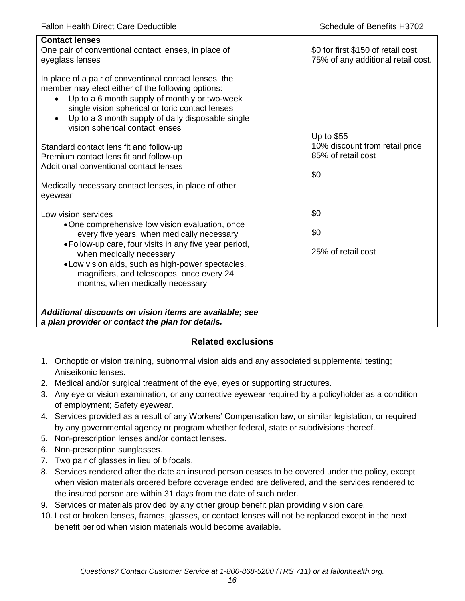| <b>Contact lenses</b><br>One pair of conventional contact lenses, in place of<br>eyeglass lenses                                                                                                                                                                                                                                  | \$0 for first \$150 of retail cost,<br>75% of any additional retail cost. |
|-----------------------------------------------------------------------------------------------------------------------------------------------------------------------------------------------------------------------------------------------------------------------------------------------------------------------------------|---------------------------------------------------------------------------|
| In place of a pair of conventional contact lenses, the<br>member may elect either of the following options:<br>Up to a 6 month supply of monthly or two-week<br>$\bullet$<br>single vision spherical or toric contact lenses<br>Up to a 3 month supply of daily disposable single<br>$\bullet$<br>vision spherical contact lenses |                                                                           |
|                                                                                                                                                                                                                                                                                                                                   | Up to \$55<br>10% discount from retail price                              |
| Standard contact lens fit and follow-up<br>Premium contact lens fit and follow-up                                                                                                                                                                                                                                                 | 85% of retail cost                                                        |
| Additional conventional contact lenses                                                                                                                                                                                                                                                                                            |                                                                           |
|                                                                                                                                                                                                                                                                                                                                   | \$0                                                                       |
| Medically necessary contact lenses, in place of other<br>eyewear                                                                                                                                                                                                                                                                  |                                                                           |
| Low vision services                                                                                                                                                                                                                                                                                                               | \$0                                                                       |
| •One comprehensive low vision evaluation, once<br>every five years, when medically necessary                                                                                                                                                                                                                                      | \$0                                                                       |
| • Follow-up care, four visits in any five year period,<br>when medically necessary<br>.Low vision aids, such as high-power spectacles,<br>magnifiers, and telescopes, once every 24<br>months, when medically necessary                                                                                                           | 25% of retail cost                                                        |
| Additional discounts on vision items are available; see<br>a plan provider or contact the plan for details.                                                                                                                                                                                                                       |                                                                           |

# **Related exclusions**

- 1. Orthoptic or vision training, subnormal vision aids and any associated supplemental testing; Aniseikonic lenses.
- 2. Medical and/or surgical treatment of the eye, eyes or supporting structures.
- 3. Any eye or vision examination, or any corrective eyewear required by a policyholder as a condition of employment; Safety eyewear.
- 4. Services provided as a result of any Workers' Compensation law, or similar legislation, or required by any governmental agency or program whether federal, state or subdivisions thereof.
- 5. Non-prescription lenses and/or contact lenses.
- 6. Non-prescription sunglasses.
- 7. Two pair of glasses in lieu of bifocals.
- 8. Services rendered after the date an insured person ceases to be covered under the policy, except when vision materials ordered before coverage ended are delivered, and the services rendered to the insured person are within 31 days from the date of such order.
- 9. Services or materials provided by any other group benefit plan providing vision care.
- 10. Lost or broken lenses, frames, glasses, or contact lenses will not be replaced except in the next benefit period when vision materials would become available.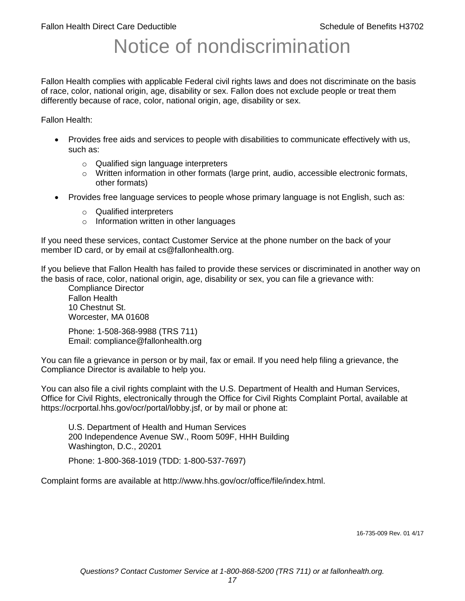# Notice of nondiscrimination

Fallon Health complies with applicable Federal civil rights laws and does not discriminate on the basis of race, color, national origin, age, disability or sex. Fallon does not exclude people or treat them differently because of race, color, national origin, age, disability or sex.

Fallon Health:

- Provides free aids and services to people with disabilities to communicate effectively with us, such as:
	- o Qualified sign language interpreters
	- $\circ$  Written information in other formats (large print, audio, accessible electronic formats, other formats)
- Provides free language services to people whose primary language is not English, such as:
	- o Qualified interpreters
	- o Information written in other languages

If you need these services, contact Customer Service at the phone number on the back of your member ID card, or by email at cs@fallonhealth.org.

If you believe that Fallon Health has failed to provide these services or discriminated in another way on the basis of race, color, national origin, age, disability or sex, you can file a grievance with:

Compliance Director Fallon Health 10 Chestnut St. Worcester, MA 01608

Phone: 1-508-368-9988 (TRS 711) Email: compliance@fallonhealth.org

You can file a grievance in person or by mail, fax or email. If you need help filing a grievance, the Compliance Director is available to help you.

You can also file a civil rights complaint with the U.S. Department of Health and Human Services, Office for Civil Rights, electronically through the Office for Civil Rights Complaint Portal, available at https://ocrportal.hhs.gov/ocr/portal/lobby.jsf, or by mail or phone at:

U.S. Department of Health and Human Services 200 Independence Avenue SW., Room 509F, HHH Building Washington, D.C., 20201

Phone: 1-800-368-1019 (TDD: 1-800-537-7697)

Complaint forms are available at http://www.hhs.gov/ocr/office/file/index.html.

16-735-009 Rev. 01 4/17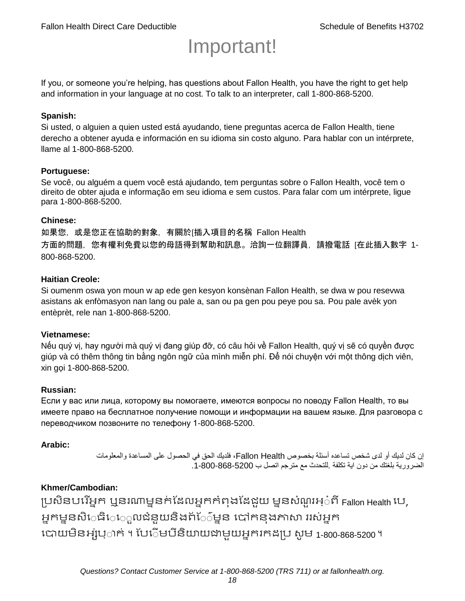# Important!

If you, or someone you're helping, has questions about Fallon Health, you have the right to get help and information in your language at no cost. To talk to an interpreter, call 1-800-868-5200.

#### **Spanish:**

Si usted, o alguien a quien usted está ayudando, tiene preguntas acerca de Fallon Health, tiene derecho a obtener ayuda e información en su idioma sin costo alguno. Para hablar con un intérprete, llame al 1-800-868-5200.

#### **Portuguese:**

Se você, ou alguém a quem você está ajudando, tem perguntas sobre o Fallon Health, você tem o direito de obter ajuda e informação em seu idioma e sem custos. Para falar com um intérprete, ligue para 1-800-868-5200.

#### **Chinese:**

如果您,或是您正在協助的對象,有關於[插入項目的名稱 Fallon Health 方面的問題, 您有權利免費以您的母語得到幫助和訊息。洽詢一位翻譯員, 請撥電話 [在此插入數字 1-800-868-5200.

#### **Haitian Creole:**

Si oumenm oswa yon moun w ap ede gen kesyon konsènan Fallon Health, se dwa w pou resevwa asistans ak enfòmasyon nan lang ou pale a, san ou pa gen pou peye pou sa. Pou pale avèk yon entèprèt, rele nan 1-800-868-5200.

#### **Vietnamese:**

Nếu quý vị, hay người mà quý vị đang giúp đỡ, có câu hỏi về Fallon Health, quý vị sẽ có quyền được giúp và có thêm thông tin bằng ngôn ngữ của mình miễn phí. Để nói chuyện với một thông dịch viên, xin gọi 1-800-868-5200.

#### **Russian:**

Если у вас или лица, которому вы помогаете, имеются вопросы по поводу Fallon Health, то вы имеете право на бесплатное получение помощи и информации на вашем языке. Для разговора с переводчиком позвоните по телефону 1-800-868-5200.

#### **Arabic:**

إن كان لديك أو لدى شخص تساعده أسئلة بخصوص Health Fallon، فلديك الحق في الحصول على المساعدة والمعلومات الضرورية بلغتك من دون اية تكلفة .للتحدث مع مترجم اتصل ب .1-800-868-5200

#### **Khmer/Cambodian:**

ប្រសិនបរើអ្នក ឬនរណាម្ននក់ដែលអ្នកកំពុងដែជយ ម្ននសំណួរអ្៎ពី Fallon Health រប, អ្នកម្ននសិេធិេ្រុលជំនួយនិងព័ែ៌ម្នន បៅកនុងភាសា ររស់អ្នក រោយម្ិនអ្ស់រ្ំ ក់ ។ ដររំម្ រនី ិយាយជាម្ួយអ្នក កែប្រ សូ ម្ 1-800-868-5200 ។